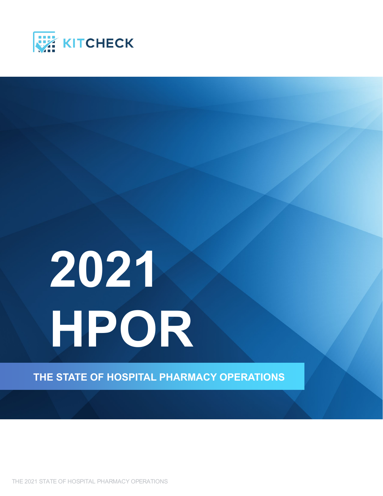

# **2021 HPOR**

**THE STATE OF HOSPITAL PHARMACY OPERATIONS**

THE 2021 STATE OF HOSPITAL PHARMACY OPERATIONS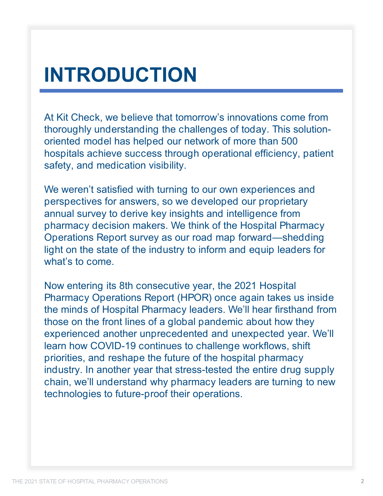# **INTRODUCTION**

At Kit Check, we believe that tomorrow's innovations come from thoroughly understanding the challenges of today. This solutionoriented model has helped our network of more than 500 hospitals achieve success through operational efficiency, patient safety, and medication visibility.

We weren't satisfied with turning to our own experiences and perspectives for answers, so we developed our proprietary annual survey to derive key insights and intelligence from pharmacy decision makers. We think of the Hospital Pharmacy Operations Report survey as our road map forward—shedding light on the state of the industry to inform and equip leaders for what's to come.

Now entering its 8th consecutive year, the 2021 Hospital Pharmacy Operations Report (HPOR) once again takes us inside the minds of Hospital Pharmacy leaders. We'll hear firsthand from those on the front lines of a global pandemic about how they experienced another unprecedented and unexpected year. We'll learn how COVID-19 continues to challenge workflows, shift priorities, and reshape the future of the hospital pharmacy industry. In another year that stress-tested the entire drug supply chain, we'll understand why pharmacy leaders are turning to new technologies to future-proof their operations.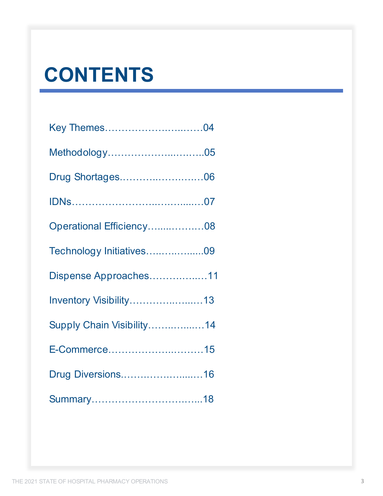# **CONTENTS**

| Key Themes04              |  |
|---------------------------|--|
| Methodology05             |  |
| Drug Shortages06          |  |
|                           |  |
| Operational Efficiency08  |  |
| Technology Initiatives09  |  |
| Dispense Approaches11     |  |
| Inventory Visibility13    |  |
| Supply Chain Visibility14 |  |
| E-Commerce15              |  |
| Drug Diversions16         |  |
|                           |  |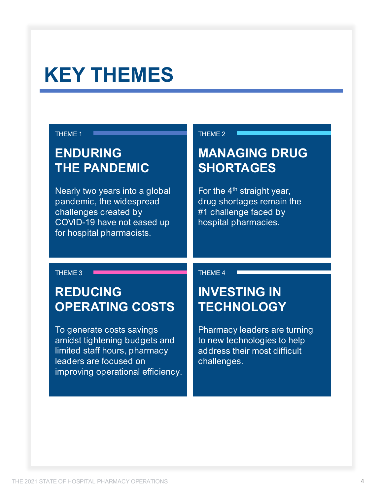# **KEY THEMES**

#### THEME 1 **THEME** 2

#### **ENDURING THE PANDEMIC**

Nearly two years into a global pandemic, the widespread challenges created by COVID-19 have not eased up for hospital pharmacists.

#### **MANAGING DRUG SHORTAGES**

For the  $4<sup>th</sup>$  straight year, drug shortages remain the #1 challenge faced by hospital pharmacies.

#### **REDUCING OPERATING COSTS**

To generate costs savings amidst tightening budgets and limited staff hours, pharmacy leaders are focused on improving operational efficiency.

THEME 3 **THEME 4** THEME 4

#### **INVESTING IN TECHNOLOGY**

Pharmacy leaders are turning to new technologies to help address their most difficult challenges.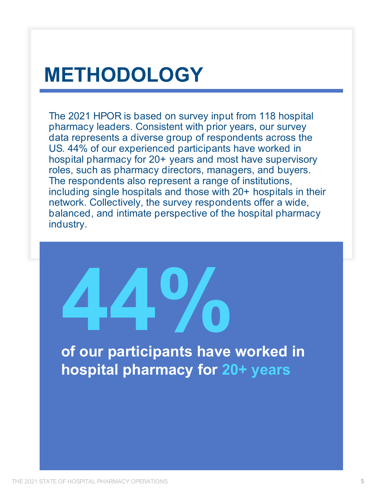# **METHODOLOGY**

The 2021 HPOR is based on survey input from 118 hospital pharmacy leaders. Consistent with prior years, our survey data represents a diverse group of respondents across the US. 44% of our experienced participants have worked in hospital pharmacy for 20+ years and most have supervisory roles, such as pharmacy directors, managers, and buyers. The respondents also represent a range of institutions, including single hospitals and those with 20+ hospitals in their network. Collectively, the survey respondents offer a wide, balanced, and intimate perspective of the hospital pharmacy industry.

**44% of our participants have worked in hospital pharmacy for 20+ years**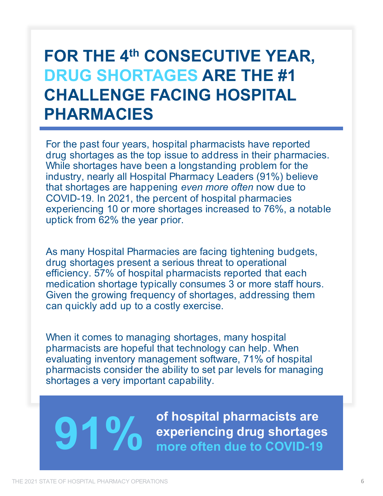#### **FOR THE 4th CONSECUTIVE YEAR, DRUG SHORTAGES ARE THE #1 CHALLENGE FACING HOSPITAL PHARMACIES**

For the past four years, hospital pharmacists have reported drug shortages as the top issue to address in their pharmacies. While shortages have been a longstanding problem for the industry, nearly all Hospital Pharmacy Leaders (91%) believe that shortages are happening *even more often* now due to COVID-19. In 2021, the percent of hospital pharmacies experiencing 10 or more shortages increased to 76%, a notable uptick from 62% the year prior.

As many Hospital Pharmacies are facing tightening budgets, drug shortages present a serious threat to operational efficiency. 57% of hospital pharmacists reported that each medication shortage typically consumes 3 or more staff hours. Given the growing frequency of shortages, addressing them can quickly add up to a costly exercise.

When it comes to managing shortages, many hospital pharmacists are hopeful that technology can help. When evaluating inventory management software, 71% of hospital pharmacists consider the ability to set par levels for managing shortages a very important capability.

**91 % OV** of hospital pharmacists are experiencing drug shortages more often due to COVID-19 **experiencing drug shortages more often due to COVID-19**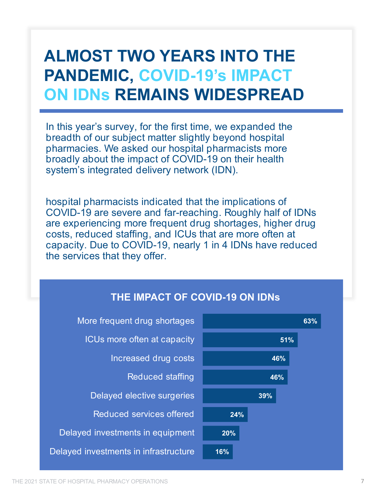## **ALMOST TWO YEARS INTO THE PANDEMIC, COVID-19's IMPACT ON IDNs REMAINS WIDESPREAD**

In this year's survey, for the first time, we expanded the breadth of our subject matter slightly beyond hospital pharmacies. We asked our hospital pharmacists more broadly about the impact of COVID-19 on their health system's integrated delivery network (IDN).

hospital pharmacists indicated that the implications of COVID-19 are severe and far-reaching. Roughly half of IDNs are experiencing more frequent drug shortages, higher drug costs, reduced staffing, and ICUs that are more often at capacity. Due to COVID-19, nearly 1 in 4 IDNs have reduced the services that they offer.

#### **THE IMPACT OF COVID-19 ON IDNs**

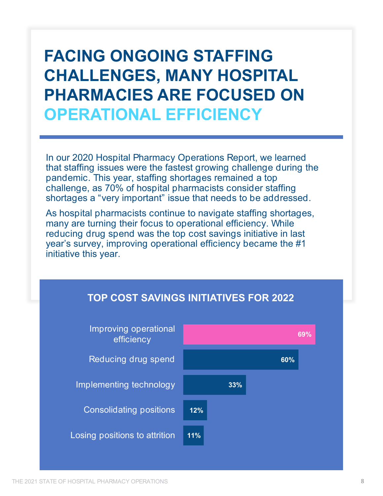## **FACING ONGOING STAFFING CHALLENGES, MANY HOSPITAL PHARMACIES ARE FOCUSED ON OPERATIONAL EFFICIENCY**

In our 2020 Hospital Pharmacy Operations Report, we learned that staffing issues were the fastest growing challenge during the pandemic. This year, staffing shortages remained a top challenge, as 70% of hospital pharmacists consider staffing shortages a "very important" issue that needs to be addressed.

As hospital pharmacists continue to navigate staffing shortages, many are turning their focus to operational efficiency. While reducing drug spend was the top cost savings initiative in last year's survey, improving operational efficiency became the #1 initiative this year.



#### **TOP COST SAVINGS INITIATIVES FOR 2022**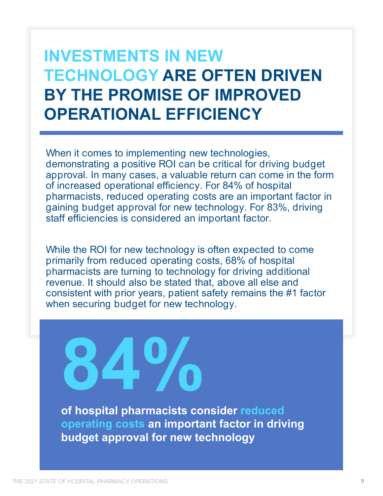#### **INVESTMENTS IN NEW TECHNOLOGY ARE OFTEN DRIVEN BY THE PROMISE OF IMPROVED OPERATIONAL EFFICIENCY**

When it comes to implementing new technologies, demonstrating a positive ROI can be critical for driving budget approval. In many cases, a valuable return can come in the form of increased operational efficiency. For 84% of hospital pharmacists, reduced operating costs are an important factor in gaining budget approval for new technology. For 83%, driving staff efficiencies is considered an important factor.

While the ROI for new technology is often expected to come primarily from reduced operating costs, 68% of hospital pharmacists are turning to technology for driving additional revenue. It should also be stated that, above all else and consistent with prior years, patient safety remains the #1 factor when securing budget for new technology.

**of hospital pharmacists consider reduced 84%**

**operating costs an important factor in driving budget approval for new technology**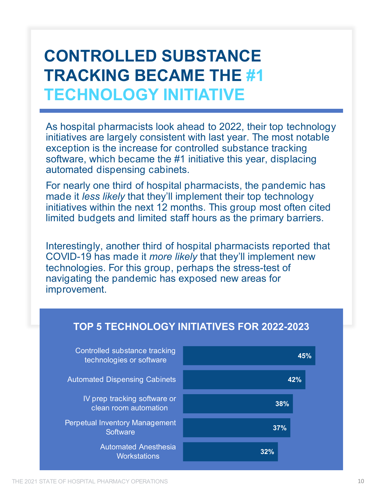## **CONTROLLED SUBSTANCE TRACKING BECAME THE #1 TECHNOLOGY INITIATIVE**

As hospital pharmacists look ahead to 2022, their top technology initiatives are largely consistent with last year. The most notable exception is the increase for controlled substance tracking software, which became the #1 initiative this year, displacing automated dispensing cabinets.

For nearly one third of hospital pharmacists, the pandemic has made it *less likely* that they'll implement their top technology initiatives within the next 12 months. This group most often cited limited budgets and limited staff hours as the primary barriers.

Interestingly, another third of hospital pharmacists reported that COVID-19 has made it *more likely* that they'll implement new technologies. For this group, perhaps the stress-test of navigating the pandemic has exposed new areas for improvement.

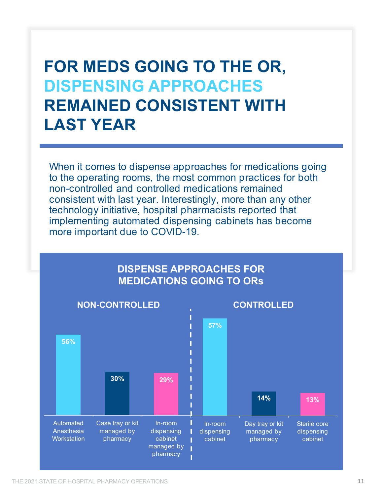#### **FOR MEDS GOING TO THE OR, DISPENSING APPROACHES REMAINED CONSISTENT WITH LAST YEAR**

When it comes to dispense approaches for medications going to the operating rooms, the most common practices for both non-controlled and controlled medications remained consistent with last year. Interestingly, more than any other technology initiative, hospital pharmacists reported that implementing automated dispensing cabinets has become more important due to COVID-19.

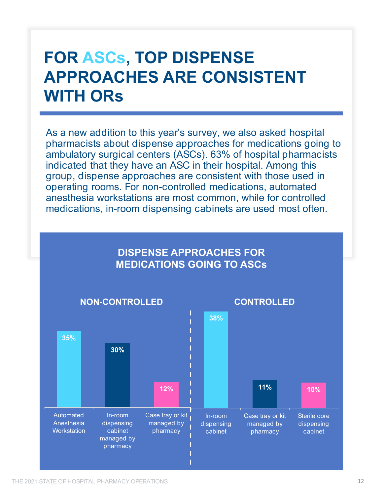### **FOR ASCs, TOP DISPENSE APPROACHES ARE CONSISTENT WITH ORs**

As a new addition to this year's survey, we also asked hospital pharmacists about dispense approaches for medications going to ambulatory surgical centers (ASCs). 63% of hospital pharmacists indicated that they have an ASC in their hospital. Among this group, dispense approaches are consistent with those used in operating rooms. For non-controlled medications, automated anesthesia workstations are most common, while for controlled medications, in-room dispensing cabinets are used most often.

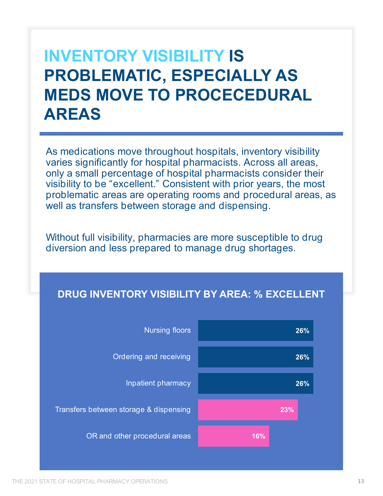## **INVENTORY VISIBILITY IS PROBLEMATIC, ESPECIALLY AS MEDS MOVE TO PROCECEDURAL AREAS**

As medications move throughout hospitals, inventory visibility varies significantly for hospital pharmacists. Across all areas, only a small percentage of hospital pharmacists consider their visibility to be "excellent." Consistent with prior years, the most problematic areas are operating rooms and procedural areas, as well as transfers between storage and dispensing.

Without full visibility, pharmacies are more susceptible to drug diversion and less prepared to manage drug shortages.

#### **DRUG INVENTORY VISIBILITY BY AREA: % EXCELLENT**

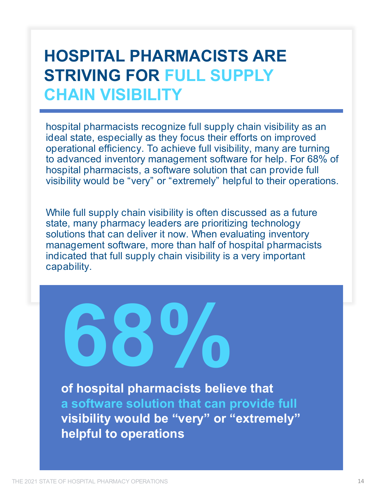#### **HOSPITAL PHARMACISTS ARE STRIVING FOR FULL SUPPLY CHAIN VISIBILITY**

hospital pharmacists recognize full supply chain visibility as an ideal state, especially as they focus their efforts on improved operational efficiency. To achieve full visibility, many are turning to advanced inventory management software for help. For 68% of hospital pharmacists, a software solution that can provide full visibility would be "very" or "extremely" helpful to their operations.

While full supply chain visibility is often discussed as a future state, many pharmacy leaders are prioritizing technology solutions that can deliver it now. When evaluating inventory management software, more than half of hospital pharmacists indicated that full supply chain visibility is a very important capability.

**of hospital pharmacists believe that a software solution that can provide full visibility would be "very" or "extremely" helpful to operations 68%**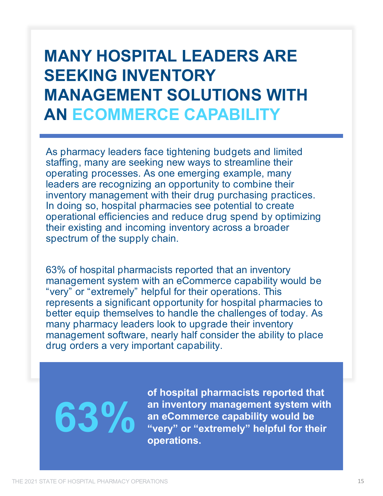## **MANY HOSPITAL LEADERS ARE SEEKING INVENTORY MANAGEMENT SOLUTIONS WITH AN ECOMMERCE CAPABILITY**

As pharmacy leaders face tightening budgets and limited staffing, many are seeking new ways to streamline their operating processes. As one emerging example, many leaders are recognizing an opportunity to combine their inventory management with their drug purchasing practices. In doing so, hospital pharmacies see potential to create operational efficiencies and reduce drug spend by optimizing their existing and incoming inventory across a broader spectrum of the supply chain.

63% of hospital pharmacists reported that an inventory management system with an eCommerce capability would be "very" or "extremely" helpful for their operations. This represents a significant opportunity for hospital pharmacies to better equip themselves to handle the challenges of today. As many pharmacy leaders look to upgrade their inventory management software, nearly half consider the ability to place drug orders a very important capability.

# **63%**

**of hospital pharmacists reported that an inventory management system with an eCommerce capability would be "very" or "extremely" helpful for their operations.**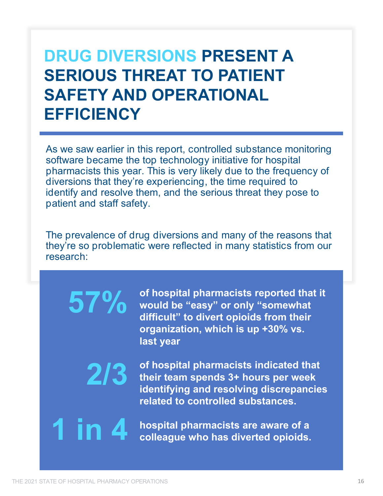#### **DRUG DIVERSIONS PRESENT A SERIOUS THREAT TO PATIENT SAFETY AND OPERATIONAL EFFICIENCY**

As we saw earlier in this report, controlled substance monitoring software became the top technology initiative for hospital pharmacists this year. This is very likely due to the frequency of diversions that they're experiencing, the time required to identify and resolve them, and the serious threat they pose to patient and staff safety.

The prevalence of drug diversions and many of the reasons that they're so problematic were reflected in many statistics from our research:

> **of hospital pharmacists reported that it would be "easy" or only "somewhat difficult" to divert opioids from their organization, which is up +30% vs. last year**

**of hospital pharmacists indicated that their team spends 3+ hours per week identifying and resolving discrepancies related to controlled substances.**

**1 in 4 hospital pharmacists are aware of a colleague who has diverted opioids.**

**57%**

**2/3**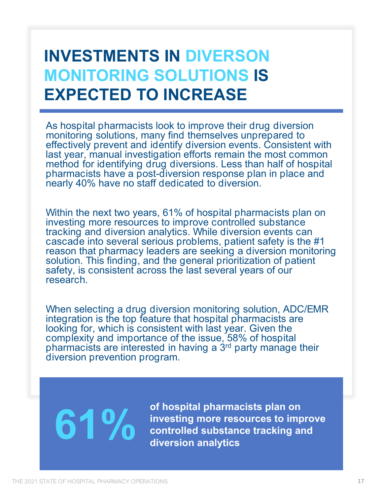## **INVESTMENTS IN DIVERSON MONITORING SOLUTIONS IS EXPECTED TO INCREASE**

As hospital pharmacists look to improve their drug diversion monitoring solutions, many find themselves unprepared to effectively prevent and identify diversion events. Consistent with last year, manual investigation efforts remain the most common method for identifying drug diversions. Less than half of hospital pharmacists have a post-diversion response plan in place and nearly 40% have no staff dedicated to diversion.

Within the next two years, 61% of hospital pharmacists plan on investing more resources to improve controlled substance tracking and diversion analytics. While diversion events can cascade into several serious problems, patient safety is the #1 reason that pharmacy leaders are seeking a diversion monitoring solution. This finding, and the general prioritization of patient safety, is consistent across the last several years of our research.

When selecting a drug diversion monitoring solution, ADC/EMR integration is the top feature that hospital pharmacists are looking for, which is consistent with last year. Given the complexity and importance of the issue, 58% of hospital pharmacists are interested in having a 3<sup>rd</sup> party manage their diversion prevention program.

of hospital pharmacists plan on<br>**61 0 61 0** investing more resources to importance tracking a **investing more resources to improve controlled substance tracking and diversion analytics**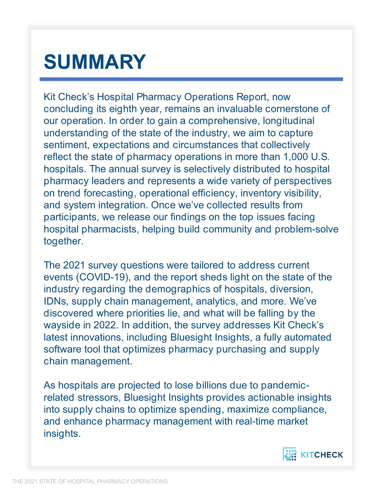# **SUMMARY**

Kit Check's Hospital Pharmacy Operations Report, now concluding its eighth year, remains an invaluable cornerstone of our operation. In order to gain a comprehensive, longitudinal understanding of the state of the industry, we aim to capture sentiment, expectations and circumstances that collectively reflect the state of pharmacy operations in more than 1,000 U.S. hospitals. The annual survey is selectively distributed to hospital pharmacy leaders and represents a wide variety of perspectives on trend forecasting, operational efficiency, inventory visibility, and system integration. Once we've collected results from participants, we release our findings on the top issues facing hospital pharmacists, helping build community and problem-solve together.

The 2021 survey questions were tailored to address current events (COVID-19), and the report sheds light on the state of the industry regarding the demographics of hospitals, diversion, IDNs, supply chain management, analytics, and more. We've discovered where priorities lie, and what will be falling by the wayside in 2022. In addition, the survey addresses Kit Check's latest innovations, including Bluesight Insights, a fully automated software tool that optimizes pharmacy purchasing and supply chain management.

As hospitals are projected to lose billions due to pandemicrelated stressors, Bluesight Insights provides actionable insights into supply chains to optimize spending, maximize compliance, and enhance pharmacy management with real-time market insights.